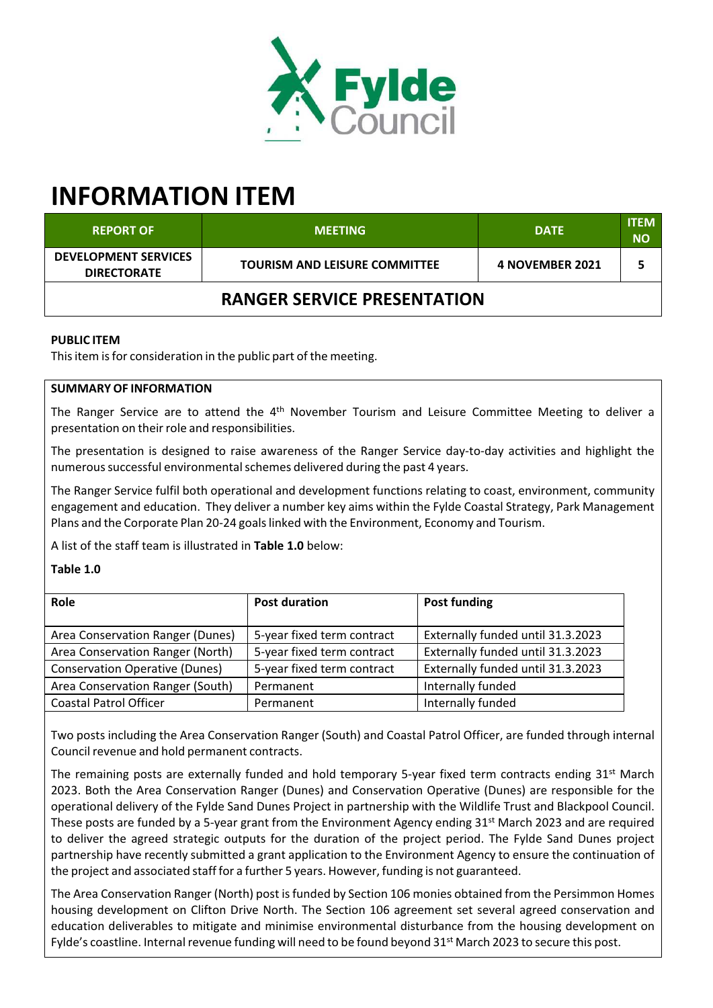

# **INFORMATION ITEM**

| <b>REPORT OF</b>                                  | <b>MEETING</b>                       | <b>DATE</b>     | <b>ITEM</b><br><b>NO</b> |  |  |
|---------------------------------------------------|--------------------------------------|-----------------|--------------------------|--|--|
| <b>DEVELOPMENT SERVICES</b><br><b>DIRECTORATE</b> | <b>TOURISM AND LEISURE COMMITTEE</b> | 4 NOVEMBER 2021 |                          |  |  |
| <b>RANGER SERVICE PRESENTATION</b>                |                                      |                 |                          |  |  |

## **PUBLIC ITEM**

This item is for consideration in the public part of the meeting.

## **SUMMARY OF INFORMATION**

The Ranger Service are to attend the 4<sup>th</sup> November Tourism and Leisure Committee Meeting to deliver a presentation on their role and responsibilities.

The presentation is designed to raise awareness of the Ranger Service day‐to‐day activities and highlight the numerous successful environmental schemes delivered during the past 4 years.

The Ranger Service fulfil both operational and development functions relating to coast, environment, community engagement and education. They deliver a number key aims within the Fylde Coastal Strategy, Park Management Plans and the Corporate Plan 20‐24 goalslinked with the Environment, Economy and Tourism.

A list of the staff team is illustrated in **Table 1.0** below:

## **Table 1.0**

| <b>Role</b>                           | <b>Post duration</b>       | Post funding                      |
|---------------------------------------|----------------------------|-----------------------------------|
| Area Conservation Ranger (Dunes)      | 5-year fixed term contract | Externally funded until 31.3.2023 |
| Area Conservation Ranger (North)      | 5-year fixed term contract | Externally funded until 31.3.2023 |
| <b>Conservation Operative (Dunes)</b> | 5-year fixed term contract | Externally funded until 31.3.2023 |
| Area Conservation Ranger (South)      | Permanent                  | Internally funded                 |
| <b>Coastal Patrol Officer</b>         | Permanent                  | Internally funded                 |

Two posts including the Area Conservation Ranger (South) and Coastal Patrol Officer, are funded through internal Council revenue and hold permanent contracts.

The remaining posts are externally funded and hold temporary 5-year fixed term contracts ending 31<sup>st</sup> March 2023. Both the Area Conservation Ranger (Dunes) and Conservation Operative (Dunes) are responsible for the operational delivery of the Fylde Sand Dunes Project in partnership with the Wildlife Trust and Blackpool Council. These posts are funded by a 5-year grant from the Environment Agency ending 31<sup>st</sup> March 2023 and are required to deliver the agreed strategic outputs for the duration of the project period. The Fylde Sand Dunes project partnership have recently submitted a grant application to the Environment Agency to ensure the continuation of the project and associated staff for a further 5 years. However, funding is not guaranteed.

The Area Conservation Ranger (North) post isfunded by Section 106 monies obtained from the Persimmon Homes housing development on Clifton Drive North. The Section 106 agreement set several agreed conservation and education deliverables to mitigate and minimise environmental disturbance from the housing development on Fylde's coastline. Internal revenue funding will need to be found beyond 31<sup>st</sup> March 2023 to secure this post.